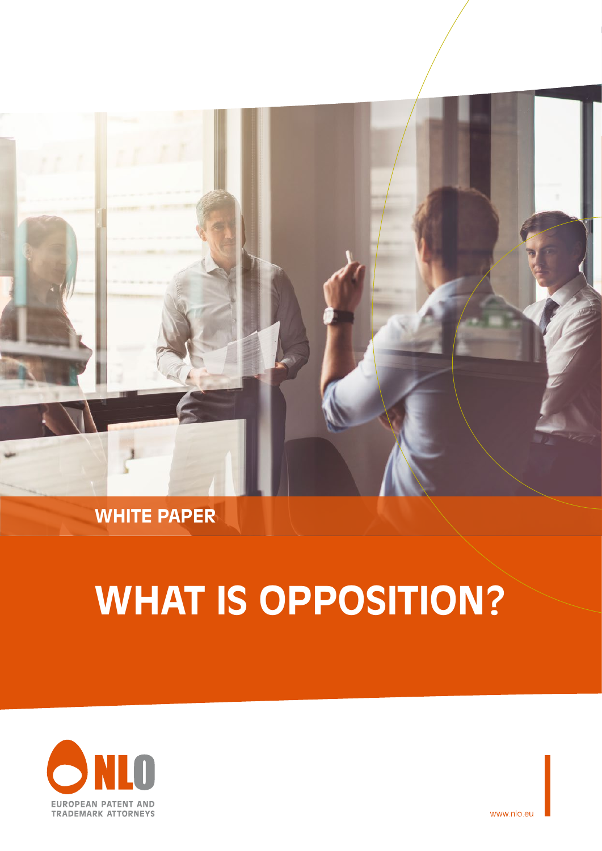

## **WHITE PAPER**

# **WHAT IS OPPOSITION?**



www.nlo.eu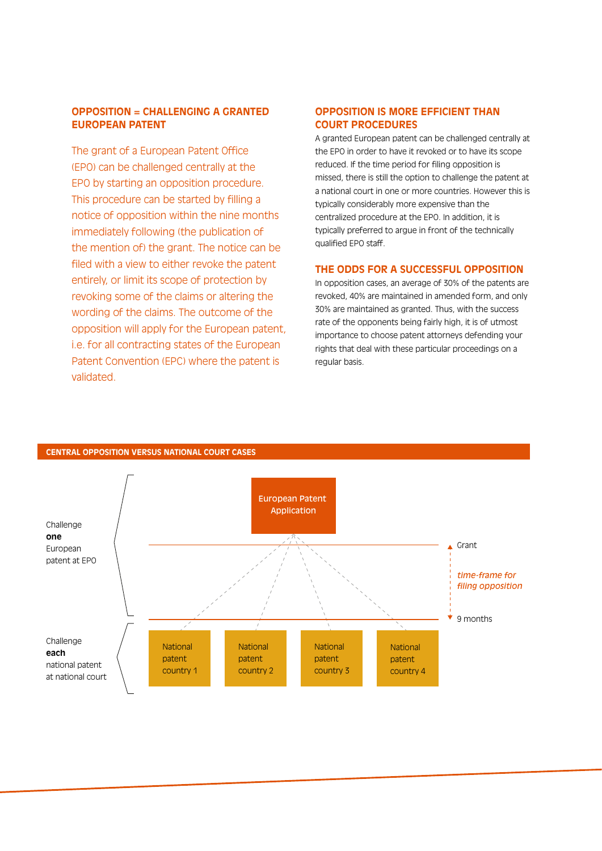### **OPPOSITION = CHALLENGING A GRANTED EUROPEAN PATENT**

The grant of a European Patent Office (EPO) can be challenged centrally at the EPO by starting an opposition procedure. This procedure can be started by filling a notice of opposition within the nine months immediately following (the publication of the mention of) the grant. The notice can be filed with a view to either revoke the patent entirely, or limit its scope of protection by revoking some of the claims or altering the wording of the claims. The outcome of the opposition will apply for the European patent, i.e. for all contracting states of the European Patent Convention (EPC) where the patent is validated.

### **OPPOSITION IS MORE EFFICIENT THAN COURT PROCEDURES**

A granted European patent can be challenged centrally at the EPO in order to have it revoked or to have its scope reduced. If the time period for filing opposition is missed, there is still the option to challenge the patent at a national court in one or more countries. However this is typically considerably more expensive than the centralized procedure at the EPO. In addition, it is typically preferred to argue in front of the technically qualified EPO staff.

#### **THE ODDS FOR A SUCCESSFUL OPPOSITION**

In opposition cases, an average of 30% of the patents are revoked, 40% are maintained in amended form, and only 30% are maintained as granted. Thus, with the success rate of the opponents being fairly high, it is of utmost importance to choose patent attorneys defending your rights that deal with these particular proceedings on a regular basis.



#### **CENTRAL OPPOSITION VERSUS NATIONAL COURT CASES**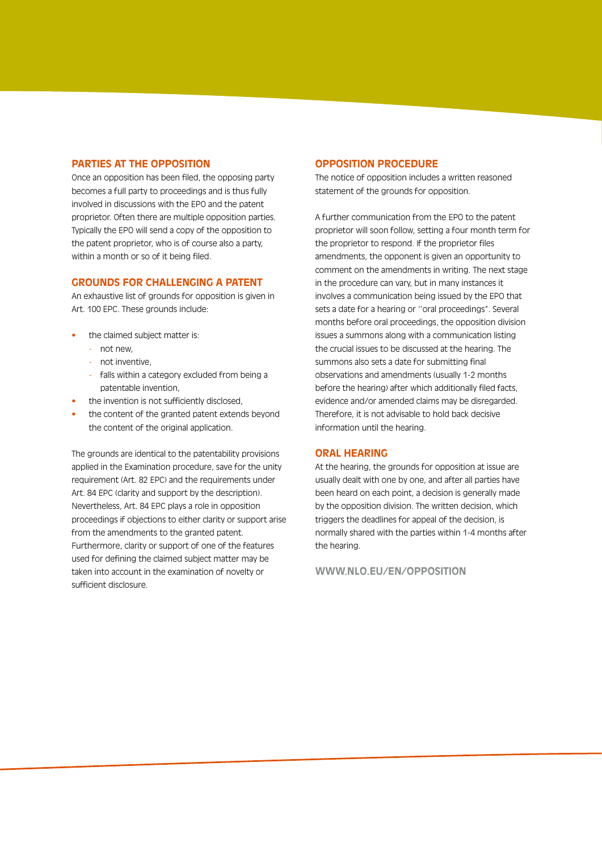#### **PARTIES AT THE OPPOSITION**

Once an opposition has been filed, the opposing party becomes a full party to proceedings and is thus fully involved in discussions with the EPO and the patent proprietor. Often there are multiple opposition parties. Typically the EPO will send a copy of the opposition to the patent proprietor, who is of course also a party, within a month or so of it being filed.

#### **GROUNDS FOR CHALLENGING A PATENT**

An exhaustive list of grounds for opposition is given in Art. 100 EPC. These grounds include:

- **•** the claimed subject matter is:
	- not new,
	- not inventive,
	- falls within a category excluded from being a patentable invention,
- **•** the invention is not sufficiently disclosed,
- **•** the content of the granted patent extends beyond the content of the original application.

The grounds are identical to the patentability provisions applied in the Examination procedure, save for the unity requirement (Art. 82 EPC) and the requirements under Art. 84 EPC (clarity and support by the description). Nevertheless, Art. 84 EPC plays a role in opposition proceedings if objections to either clarity or support arise from the amendments to the granted patent. Furthermore, clarity or support of one of the features used for defining the claimed subject matter may be taken into account in the examination of novelty or sufficient disclosure.

#### **OPPOSITION PROCEDURE**

The notice of opposition includes a written reasoned statement of the grounds for opposition.

A further communication from the EPO to the patent proprietor will soon follow, setting a four month term for the proprietor to respond. If the proprietor files amendments, the opponent is given an opportunity to comment on the amendments in writing. The next stage in the procedure can vary, but in many instances it involves a communication being issued by the EPO that sets a date for a hearing or ''oral proceedings''. Several months before oral proceedings, the opposition division issues a summons along with a communication listing the crucial issues to be discussed at the hearing. The summons also sets a date for submitting final observations and amendments (usually 1-2 months before the hearing) after which additionally filed facts, evidence and/or amended claims may be disregarded. Therefore, it is not advisable to hold back decisive information until the hearing.

#### **ORAL HEARING**

At the hearing, the grounds for opposition at issue are usually dealt with one by one, and after all parties have been heard on each point, a decision is generally made by the opposition division. The written decision, which triggers the deadlines for appeal of the decision, is normally shared with the parties within 1-4 months after the hearing.

**WWW.NLO.EU/EN/OPPOSITION**